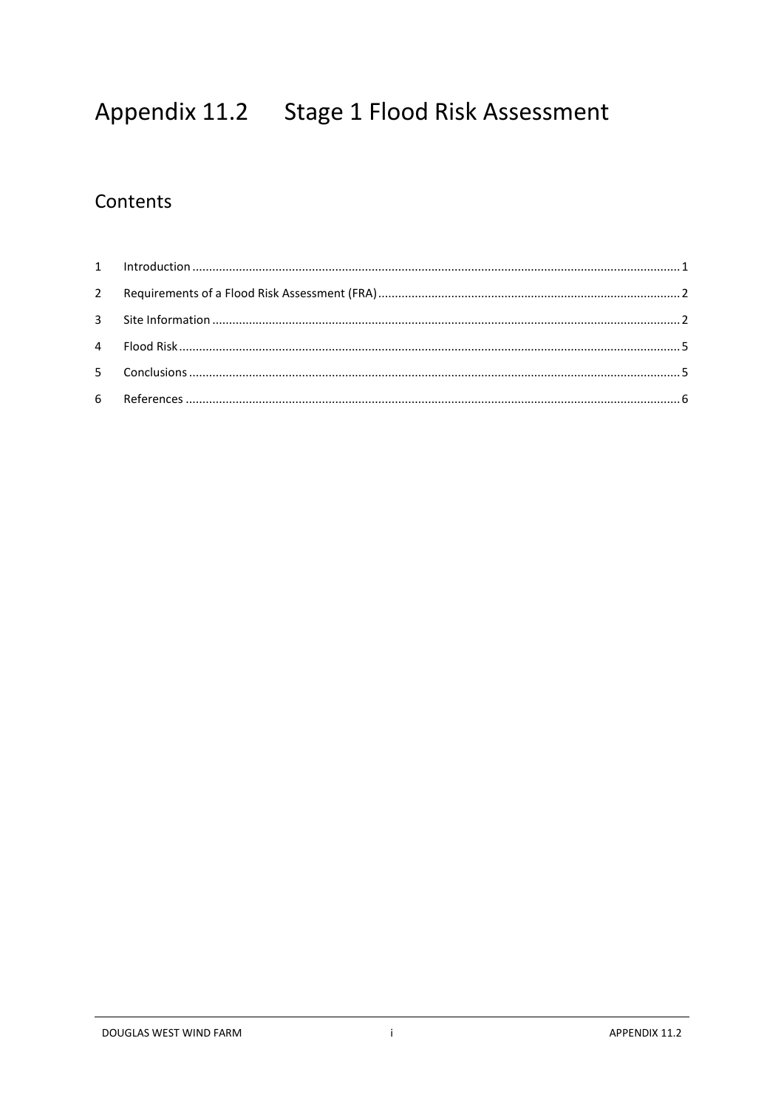# Appendix 11.2 Stage 1 Flood Risk Assessment

## Contents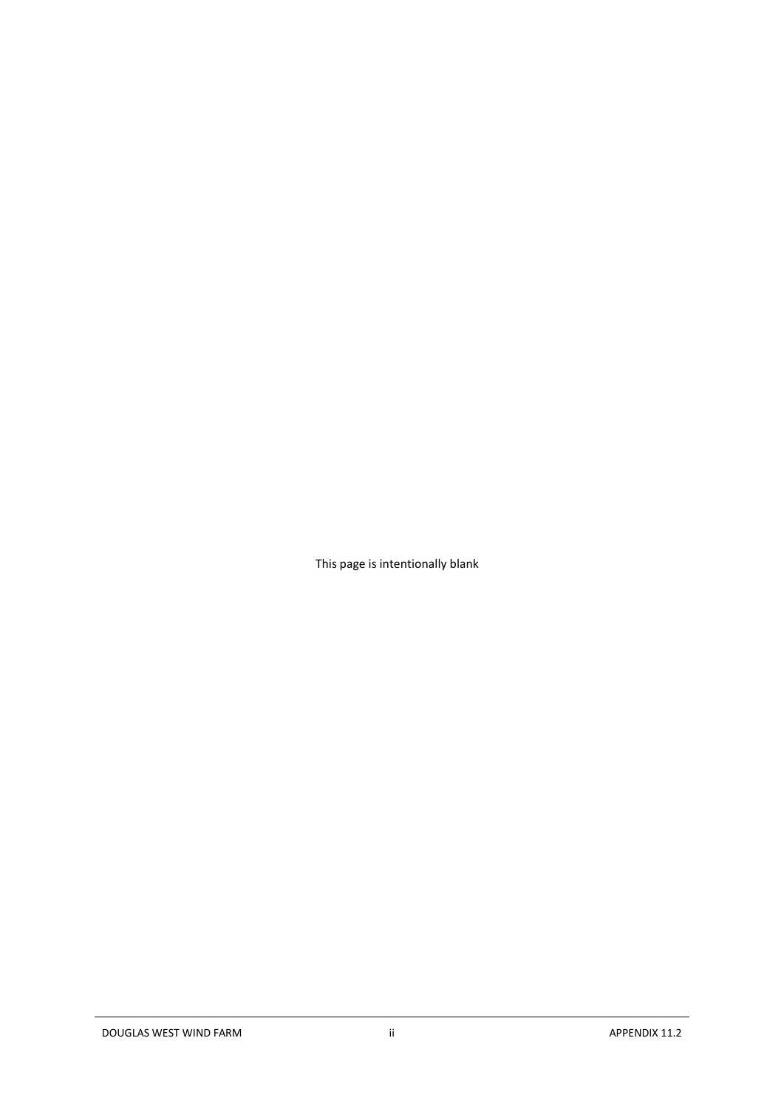This page is intentionally blank

DOUGLAS WEST WIND FARM ii ii a control to the control of the APPENDIX 11.2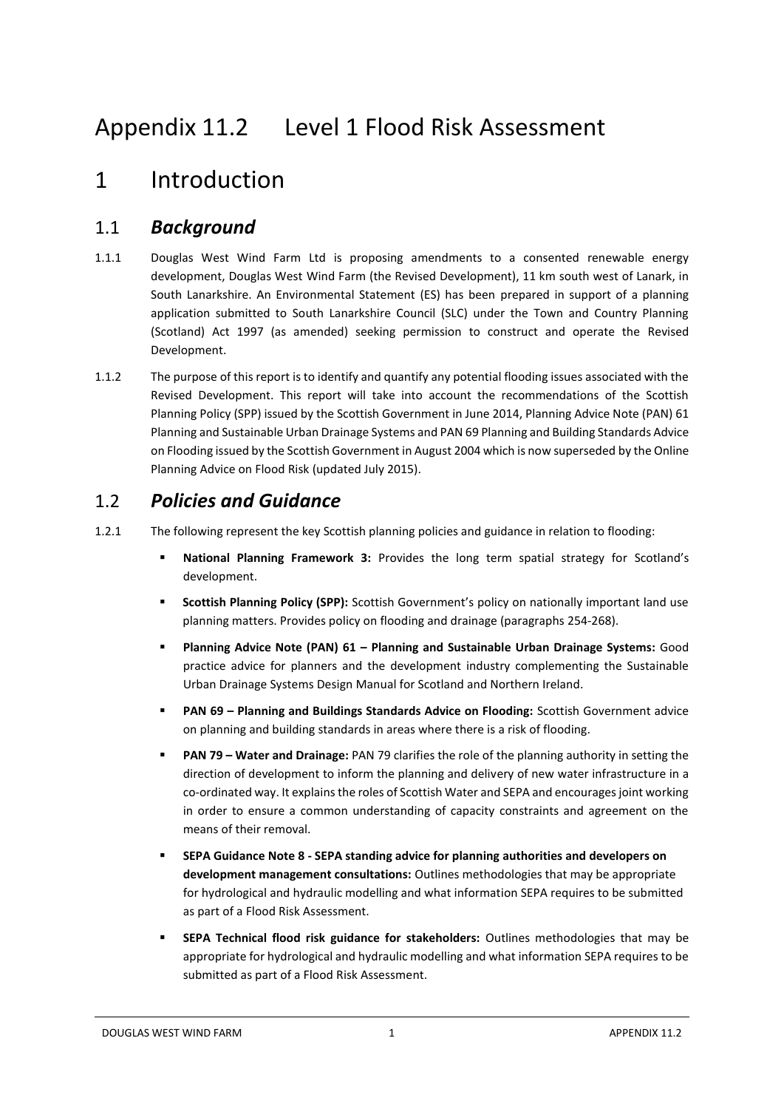# Appendix 11.2 Level 1 Flood Risk Assessment

## <span id="page-2-0"></span>1 Introduction

#### 1.1 *Background*

- 1.1.1 Douglas West Wind Farm Ltd is proposing amendments to a consented renewable energy development, Douglas West Wind Farm (the Revised Development), 11 km south west of Lanark, in South Lanarkshire. An Environmental Statement (ES) has been prepared in support of a planning application submitted to South Lanarkshire Council (SLC) under the Town and Country Planning (Scotland) Act 1997 (as amended) seeking permission to construct and operate the Revised Development.
- 1.1.2 The purpose of this report is to identify and quantify any potential flooding issues associated with the Revised Development. This report will take into account the recommendations of the Scottish Planning Policy (SPP) issued by the Scottish Government in June 2014, Planning Advice Note (PAN) 61 Planning and Sustainable Urban Drainage Systems and PAN 69 Planning and Building Standards Advice on Flooding issued by the Scottish Government in August 2004 which is now superseded by the Online Planning Advice on Flood Risk (updated July 2015).

#### 1.2 *Policies and Guidance*

- 1.2.1 The following represent the key Scottish planning policies and guidance in relation to flooding:
	- **National Planning Framework 3:** Provides the long term spatial strategy for Scotland's development.
	- **Scottish Planning Policy (SPP):** Scottish Government's policy on nationally important land use planning matters. Provides policy on flooding and drainage (paragraphs 254-268).
	- **Planning Advice Note (PAN) 61 – Planning and Sustainable Urban Drainage Systems:** Good practice advice for planners and the development industry complementing the Sustainable Urban Drainage Systems Design Manual for Scotland and Northern Ireland.
	- **PAN 69 – Planning and Buildings Standards Advice on Flooding:** Scottish Government advice on planning and building standards in areas where there is a risk of flooding.
	- **PAN 79 Water and Drainage: PAN 79 clarifies the role of the planning authority in setting the** direction of development to inform the planning and delivery of new water infrastructure in a co-ordinated way. It explains the roles of Scottish Water and SEPA and encourages joint working in order to ensure a common understanding of capacity constraints and agreement on the means of their removal.
	- **SEPA Guidance Note 8 - SEPA standing advice for planning authorities and developers on development management consultations:** Outlines methodologies that may be appropriate for hydrological and hydraulic modelling and what information SEPA requires to be submitted as part of a Flood Risk Assessment.
	- **SEPA Technical flood risk guidance for stakeholders:** Outlines methodologies that may be appropriate for hydrological and hydraulic modelling and what information SEPA requires to be submitted as part of a Flood Risk Assessment.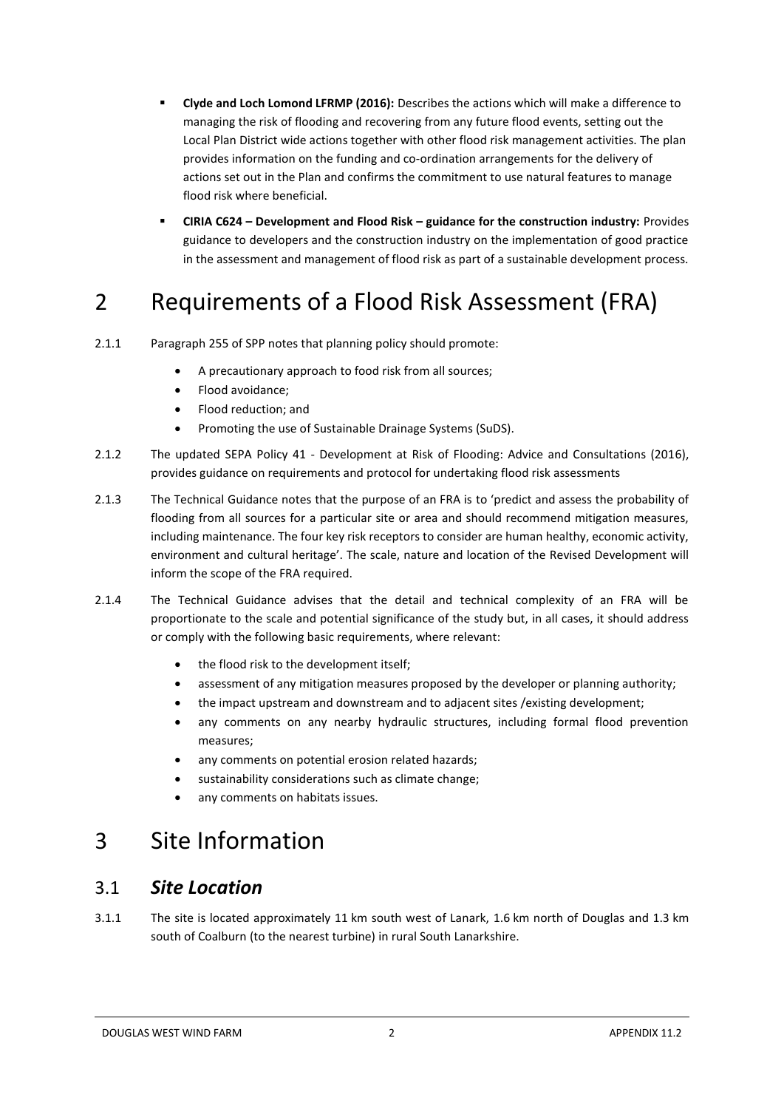- **Clyde and Loch Lomond LFRMP (2016):** Describes the actions which will make a difference to managing the risk of flooding and recovering from any future flood events, setting out the Local Plan District wide actions together with other flood risk management activities. The plan provides information on the funding and co-ordination arrangements for the delivery of actions set out in the Plan and confirms the commitment to use natural features to manage flood risk where beneficial.
- **CIRIA C624 – Development and Flood Risk – guidance for the construction industry:** Provides guidance to developers and the construction industry on the implementation of good practice in the assessment and management of flood risk as part of a sustainable development process.

# <span id="page-3-0"></span>2 Requirements of a Flood Risk Assessment (FRA)

- 2.1.1 Paragraph 255 of SPP notes that planning policy should promote:
	- A precautionary approach to food risk from all sources;
	- Flood avoidance:
	- Flood reduction; and
	- Promoting the use of Sustainable Drainage Systems (SuDS).
- 2.1.2 The updated SEPA Policy 41 Development at Risk of Flooding: Advice and Consultations (2016), provides guidance on requirements and protocol for undertaking flood risk assessments
- 2.1.3 The Technical Guidance notes that the purpose of an FRA is to 'predict and assess the probability of flooding from all sources for a particular site or area and should recommend mitigation measures, including maintenance. The four key risk receptors to consider are human healthy, economic activity, environment and cultural heritage'. The scale, nature and location of the Revised Development will inform the scope of the FRA required.
- 2.1.4 The Technical Guidance advises that the detail and technical complexity of an FRA will be proportionate to the scale and potential significance of the study but, in all cases, it should address or comply with the following basic requirements, where relevant:
	- the flood risk to the development itself;
	- assessment of any mitigation measures proposed by the developer or planning authority;
	- the impact upstream and downstream and to adjacent sites /existing development;
	- any comments on any nearby hydraulic structures, including formal flood prevention measures;
	- any comments on potential erosion related hazards;
	- sustainability considerations such as climate change;
	- any comments on habitats issues.

# <span id="page-3-1"></span>3 Site Information

#### 3.1 *Site Location*

3.1.1 The site is located approximately 11 km south west of Lanark, 1.6 km north of Douglas and 1.3 km south of Coalburn (to the nearest turbine) in rural South Lanarkshire.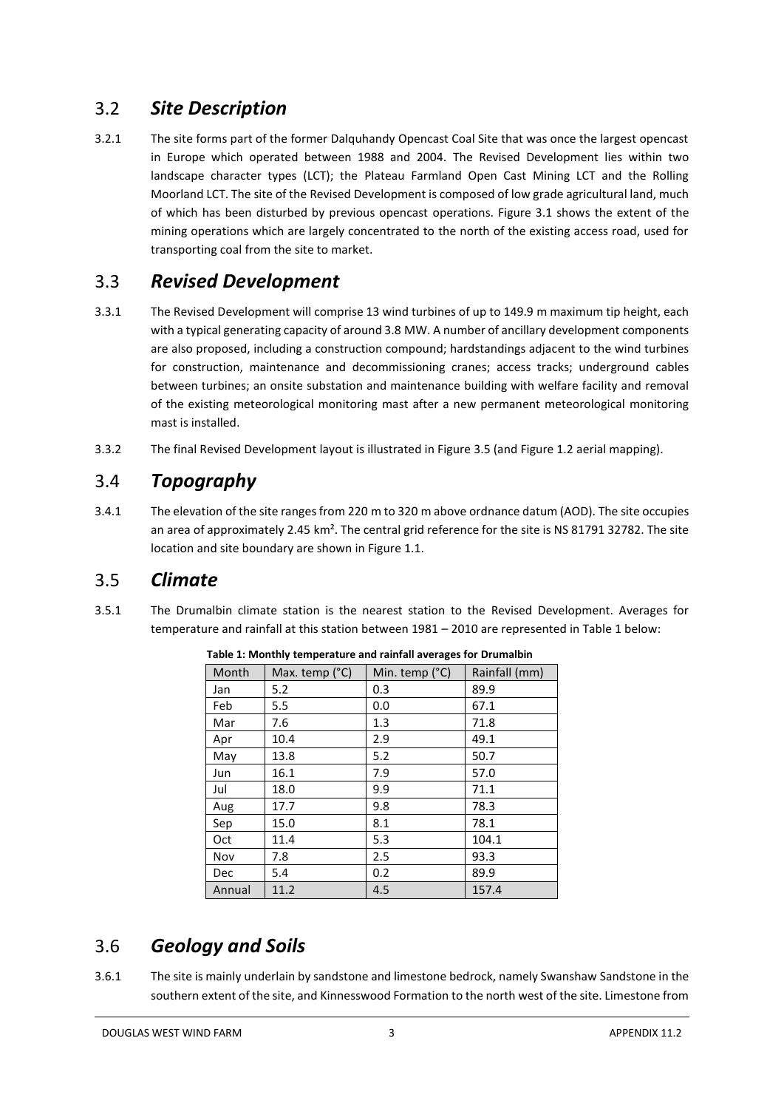#### 3.2 *Site Description*

3.2.1 The site forms part of the former Dalquhandy Opencast Coal Site that was once the largest opencast in Europe which operated between 1988 and 2004. The Revised Development lies within two landscape character types (LCT); the Plateau Farmland Open Cast Mining LCT and the Rolling Moorland LCT. The site of the Revised Development is composed of low grade agricultural land, much of which has been disturbed by previous opencast operations. Figure 3.1 shows the extent of the mining operations which are largely concentrated to the north of the existing access road, used for transporting coal from the site to market.

#### 3.3 *Revised Development*

- 3.3.1 The Revised Development will comprise 13 wind turbines of up to 149.9 m maximum tip height, each with a typical generating capacity of around 3.8 MW. A number of ancillary development components are also proposed, including a construction compound; hardstandings adjacent to the wind turbines for construction, maintenance and decommissioning cranes; access tracks; underground cables between turbines; an onsite substation and maintenance building with welfare facility and removal of the existing meteorological monitoring mast after a new permanent meteorological monitoring mast is installed.
- 3.3.2 The final Revised Development layout is illustrated in Figure 3.5 (and Figure 1.2 aerial mapping).

#### 3.4 *Topography*

3.4.1 The elevation of the site ranges from 220 m to 320 m above ordnance datum (AOD). The site occupies an area of approximately 2.45 km<sup>2</sup>. The central grid reference for the site is NS 81791 32782. The site location and site boundary are shown in Figure 1.1.

#### 3.5 *Climate*

3.5.1 The Drumalbin climate station is the nearest station to the Revised Development. Averages for temperature and rainfall at this station between 1981 – 2010 are represented in Table 1 below:

| Month  | Max. temp $(^{\circ}C)$ | Min. temp $(^{\circ}C)$ | Rainfall (mm) |
|--------|-------------------------|-------------------------|---------------|
| Jan    | 5.2                     | 0.3                     | 89.9          |
| Feb    | 5.5                     | 0.0                     | 67.1          |
| Mar    | 7.6                     | 1.3                     | 71.8          |
| Apr    | 10.4                    | 2.9                     | 49.1          |
| May    | 13.8                    | 5.2                     | 50.7          |
| Jun    | 16.1                    | 7.9                     | 57.0          |
| Jul    | 18.0                    | 9.9                     | 71.1          |
| Aug    | 17.7                    | 9.8                     | 78.3          |
| Sep    | 15.0                    | 8.1                     | 78.1          |
| Oct    | 11.4                    | 5.3                     | 104.1         |
| Nov    | 7.8                     | 2.5                     | 93.3          |
| Dec    | 5.4                     | 0.2                     | 89.9          |
| Annual | 11.2                    | 4.5                     | 157.4         |

**Table 1: Monthly temperature and rainfall averages for Drumalbin**

### 3.6 *Geology and Soils*

3.6.1 The site is mainly underlain by sandstone and limestone bedrock, namely Swanshaw Sandstone in the southern extent of the site, and Kinnesswood Formation to the north west of the site. Limestone from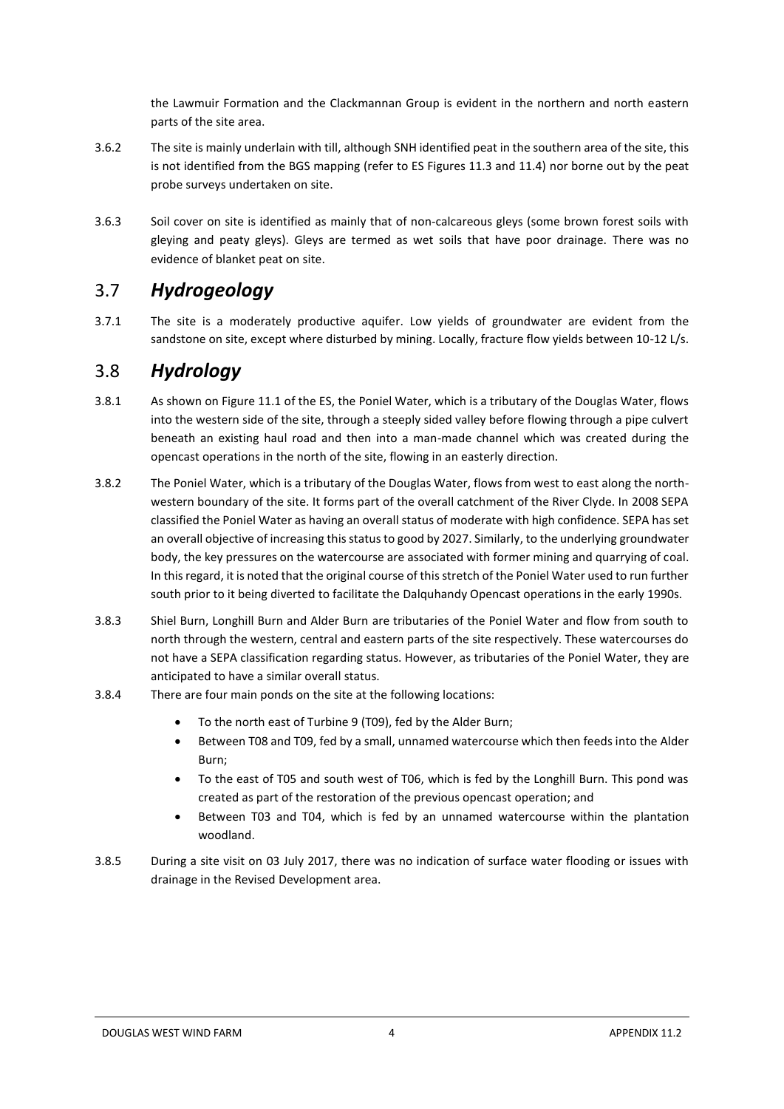the Lawmuir Formation and the Clackmannan Group is evident in the northern and north eastern parts of the site area.

- 3.6.2 The site is mainly underlain with till, although SNH identified peat in the southern area of the site, this is not identified from the BGS mapping (refer to ES Figures 11.3 and 11.4) nor borne out by the peat probe surveys undertaken on site.
- 3.6.3 Soil cover on site is identified as mainly that of non-calcareous gleys (some brown forest soils with gleying and peaty gleys). Gleys are termed as wet soils that have poor drainage. There was no evidence of blanket peat on site.

#### 3.7 *Hydrogeology*

3.7.1 The site is a moderately productive aquifer. Low yields of groundwater are evident from the sandstone on site, except where disturbed by mining. Locally, fracture flow yields between 10-12 L/s.

#### 3.8 *Hydrology*

- 3.8.1 As shown on Figure 11.1 of the ES, the Poniel Water, which is a tributary of the Douglas Water, flows into the western side of the site, through a steeply sided valley before flowing through a pipe culvert beneath an existing haul road and then into a man-made channel which was created during the opencast operations in the north of the site, flowing in an easterly direction.
- 3.8.2 The Poniel Water, which is a tributary of the Douglas Water, flows from west to east along the northwestern boundary of the site. It forms part of the overall catchment of the River Clyde. In 2008 SEPA classified the Poniel Water as having an overall status of moderate with high confidence. SEPA has set an overall objective of increasing this status to good by 2027. Similarly, to the underlying groundwater body, the key pressures on the watercourse are associated with former mining and quarrying of coal. In this regard, it is noted that the original course of this stretch of the Poniel Water used to run further south prior to it being diverted to facilitate the Dalquhandy Opencast operations in the early 1990s.
- 3.8.3 Shiel Burn, Longhill Burn and Alder Burn are tributaries of the Poniel Water and flow from south to north through the western, central and eastern parts of the site respectively. These watercourses do not have a SEPA classification regarding status. However, as tributaries of the Poniel Water, they are anticipated to have a similar overall status.
- 3.8.4 There are four main ponds on the site at the following locations:
	- To the north east of Turbine 9 (T09), fed by the Alder Burn;
	- Between T08 and T09, fed by a small, unnamed watercourse which then feeds into the Alder Burn;
	- To the east of T05 and south west of T06, which is fed by the Longhill Burn. This pond was created as part of the restoration of the previous opencast operation; and
	- Between T03 and T04, which is fed by an unnamed watercourse within the plantation woodland.
- 3.8.5 During a site visit on 03 July 2017, there was no indication of surface water flooding or issues with drainage in the Revised Development area.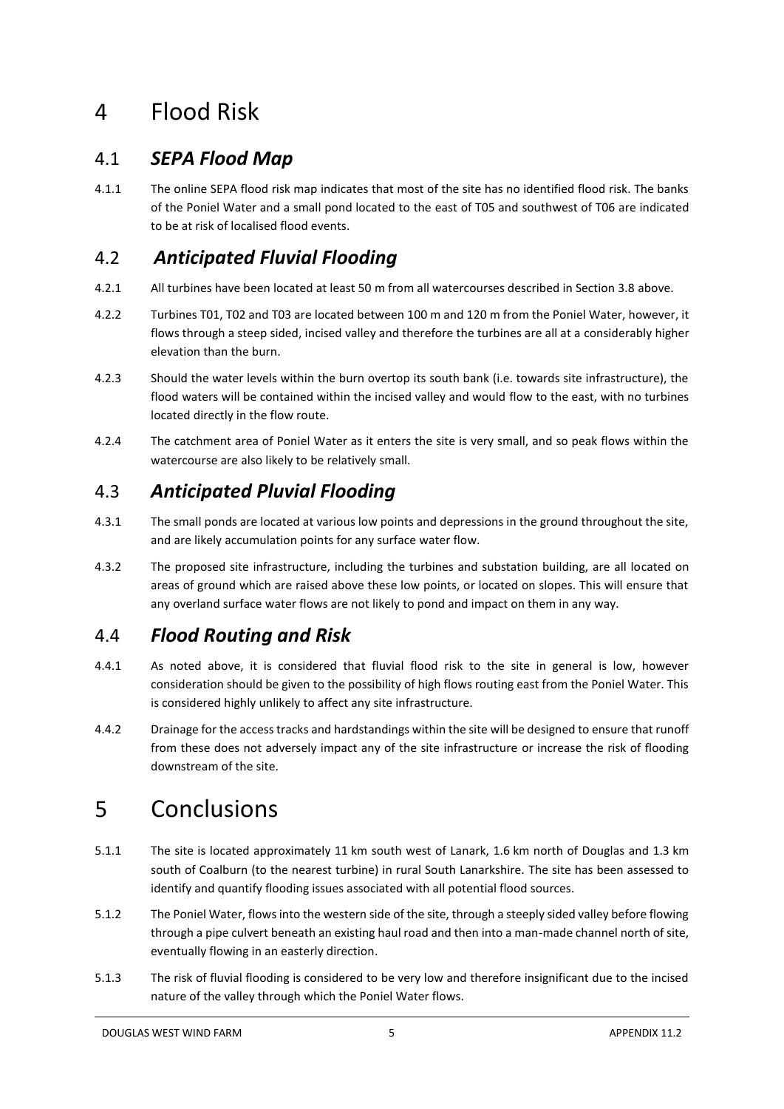# <span id="page-6-0"></span>4 Flood Risk

#### 4.1 *SEPA Flood Map*

4.1.1 The online SEPA flood risk map indicates that most of the site has no identified flood risk. The banks of the Poniel Water and a small pond located to the east of T05 and southwest of T06 are indicated to be at risk of localised flood events.

### 4.2 *Anticipated Fluvial Flooding*

- 4.2.1 All turbines have been located at least 50 m from all watercourses described in Section 3.8 above.
- 4.2.2 Turbines T01, T02 and T03 are located between 100 m and 120 m from the Poniel Water, however, it flows through a steep sided, incised valley and therefore the turbines are all at a considerably higher elevation than the burn.
- 4.2.3 Should the water levels within the burn overtop its south bank (i.e. towards site infrastructure), the flood waters will be contained within the incised valley and would flow to the east, with no turbines located directly in the flow route.
- 4.2.4 The catchment area of Poniel Water as it enters the site is very small, and so peak flows within the watercourse are also likely to be relatively small.

### 4.3 *Anticipated Pluvial Flooding*

- 4.3.1 The small ponds are located at various low points and depressions in the ground throughout the site, and are likely accumulation points for any surface water flow.
- 4.3.2 The proposed site infrastructure, including the turbines and substation building, are all located on areas of ground which are raised above these low points, or located on slopes. This will ensure that any overland surface water flows are not likely to pond and impact on them in any way.

### 4.4 *Flood Routing and Risk*

- 4.4.1 As noted above, it is considered that fluvial flood risk to the site in general is low, however consideration should be given to the possibility of high flows routing east from the Poniel Water. This is considered highly unlikely to affect any site infrastructure.
- 4.4.2 Drainage for the access tracks and hardstandings within the site will be designed to ensure that runoff from these does not adversely impact any of the site infrastructure or increase the risk of flooding downstream of the site.

# <span id="page-6-1"></span>5 Conclusions

- 5.1.1 The site is located approximately 11 km south west of Lanark, 1.6 km north of Douglas and 1.3 km south of Coalburn (to the nearest turbine) in rural South Lanarkshire. The site has been assessed to identify and quantify flooding issues associated with all potential flood sources.
- 5.1.2 The Poniel Water, flows into the western side of the site, through a steeply sided valley before flowing through a pipe culvert beneath an existing haul road and then into a man-made channel north of site, eventually flowing in an easterly direction.
- 5.1.3 The risk of fluvial flooding is considered to be very low and therefore insignificant due to the incised nature of the valley through which the Poniel Water flows.